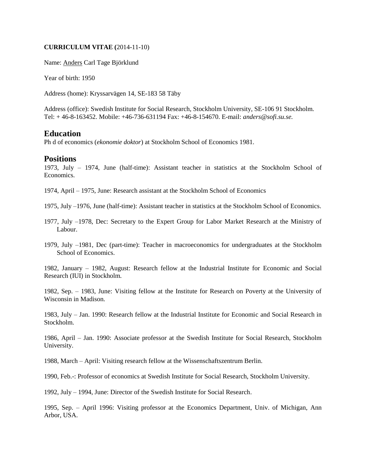#### **CURRICULUM VITAE (**2014-11-10)

Name: Anders Carl Tage Björklund

Year of birth: 1950

Address (home): Kryssarvägen 14, SE-183 58 Täby

Address (office): Swedish Institute for Social Research, Stockholm University, SE-106 91 Stockholm. Tel: + 46-8-163452. Mobile: +46-736-631194 Fax: +46-8-154670. E-mail: *anders@sofi.su.se.*

# **Education**

Ph d of economics (*ekonomie doktor*) at Stockholm School of Economics 1981.

## **Positions**

1973, July – 1974, June (half-time): Assistant teacher in statistics at the Stockholm School of Economics.

1974, April – 1975, June: Research assistant at the Stockholm School of Economics

1975, July –1976, June (half-time): Assistant teacher in statistics at the Stockholm School of Economics.

- 1977, July –1978, Dec: Secretary to the Expert Group for Labor Market Research at the Ministry of Labour.
- 1979, July –1981, Dec (part-time): Teacher in macroeconomics for undergraduates at the Stockholm School of Economics.

1982, January – 1982, August: Research fellow at the Industrial Institute for Economic and Social Research (IUI) in Stockholm.

1982, Sep. – 1983, June: Visiting fellow at the Institute for Research on Poverty at the University of Wisconsin in Madison.

1983, July – Jan. 1990: Research fellow at the Industrial Institute for Economic and Social Research in Stockholm.

1986, April – Jan. 1990: Associate professor at the Swedish Institute for Social Research, Stockholm University.

1988, March – April: Visiting research fellow at the Wissenschaftszentrum Berlin.

1990, Feb.-: Professor of economics at Swedish Institute for Social Research, Stockholm University.

1992, July – 1994, June: Director of the Swedish Institute for Social Research.

1995, Sep. – April 1996: Visiting professor at the Economics Department, Univ. of Michigan, Ann Arbor, USA.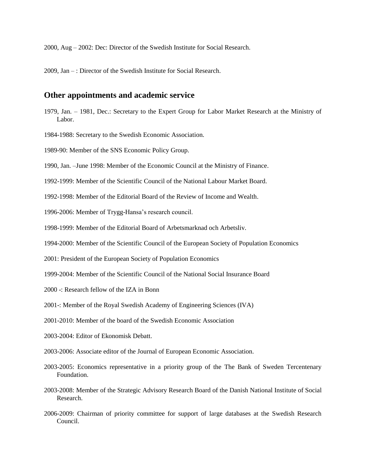2000, Aug – 2002: Dec: Director of the Swedish Institute for Social Research.

2009, Jan – : Director of the Swedish Institute for Social Research.

#### **Other appointments and academic service**

- 1979, Jan. 1981, Dec.: Secretary to the Expert Group for Labor Market Research at the Ministry of Labor.
- 1984-1988: Secretary to the Swedish Economic Association.
- 1989-90: Member of the SNS Economic Policy Group.
- 1990, Jan. –June 1998: Member of the Economic Council at the Ministry of Finance.
- 1992-1999: Member of the Scientific Council of the National Labour Market Board.
- 1992-1998: Member of the Editorial Board of the Review of Income and Wealth.
- 1996-2006: Member of Trygg-Hansa's research council.
- 1998-1999: Member of the Editorial Board of Arbetsmarknad och Arbetsliv.
- 1994-2000: Member of the Scientific Council of the European Society of Population Economics
- 2001: President of the European Society of Population Economics
- 1999-2004: Member of the Scientific Council of the National Social Insurance Board
- 2000 -: Research fellow of the IZA in Bonn
- 2001-: Member of the Royal Swedish Academy of Engineering Sciences (IVA)
- 2001-2010: Member of the board of the Swedish Economic Association
- 2003-2004: Editor of Ekonomisk Debatt.
- 2003-2006: Associate editor of the Journal of European Economic Association.
- 2003-2005: Economics representative in a priority group of the The Bank of Sweden Tercentenary Foundation.
- 2003-2008: Member of the Strategic Advisory Research Board of the Danish National Institute of Social Research.
- 2006-2009: Chairman of priority committee for support of large databases at the Swedish Research Council.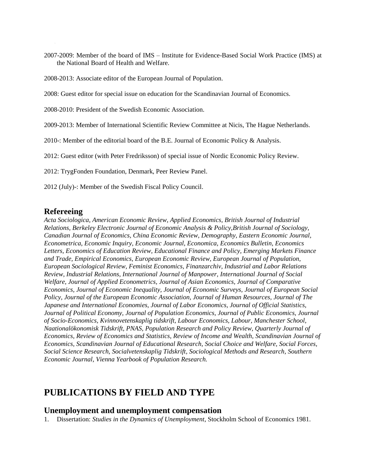- 2007-2009: Member of the board of IMS Institute for Evidence-Based Social Work Practice (IMS) at the National Board of Health and Welfare.
- 2008-2013: Associate editor of the European Journal of Population.

2008: Guest editor for special issue on education for the Scandinavian Journal of Economics.

- 2008-2010: President of the Swedish Economic Association.
- 2009-2013: Member of International Scientific Review Committee at Nicis, The Hague Netherlands.
- 2010-: Member of the editorial board of the B.E. Journal of Economic Policy & Analysis.

2012: Guest editor (with Peter Fredriksson) of special issue of Nordic Economic Policy Review.

2012: TrygFonden Foundation, Denmark, Peer Review Panel.

2012 (July)-: Member of the Swedish Fiscal Policy Council.

## **Refereeing**

*Acta Sociologica, American Economic Review, Applied Economics, British Journal of Industrial Relations, Berkeley Electronic Journal of Economic Analysis & Policy,British Journal of Sociology, Canadian Journal of Economics, China Economic Review, Demography, Eastern Economic Journal, Econometrica, Economic Inquiry, Economic Journal, Economica, Economics Bulletin, Economics Letters, Economics of Education Review, Educational Finance and Policy, Emerging Markets Finance and Trade, Empirical Economics, European Economic Review, European Journal of Population, European Sociological Review, Feminist Economics, Finanzarchiv, Industrial and Labor Relations Review, Industrial Relations, International Journal of Manpower, International Journal of Social Welfare, Journal of Applied Econometrics, Journal of Asian Economics, Journal of Comparative Economics, Journal of Economic Inequality, Journal of Economic Surveys, Journal of European Social Policy, Journal of the European Economic Association, Journal of Human Resources, Journal of The Japanese and International Economies, Journal of Labor Economics, Journal of Official Statistics, Journal of Political Economy, Journal of Population Economics, Journal of Public Economics, Journal of Socio-Economics, Kvinnovetenskaplig tidskrift, Labour Economics, Labour, Manchester School, Naationalökonomisk Tidskrift, PNAS, Population Research and Policy Review, Quarterly Journal of Economics, Review of Economics and Statistics, Review of Income and Wealth, Scandinavian Journal of Economics, Scandinavian Journal of Educational Research, Social Choice and Welfare, Social Forces, Social Science Research, Socialvetenskaplig Tidskrift, Sociological Methods and Research, Southern Economic Journal, Vienna Yearbook of Population Research.*

# **PUBLICATIONS BY FIELD AND TYPE**

### **Unemployment and unemployment compensation**

1. Dissertation: *Studies in the Dynamics of Unemployment*, Stockholm School of Economics 1981.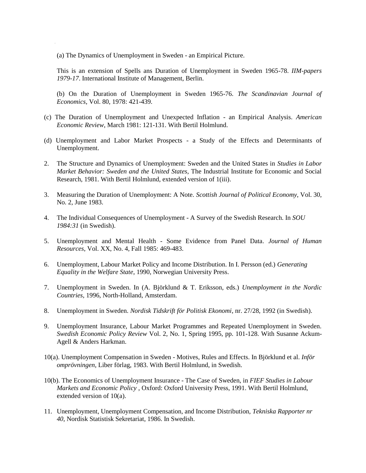(a) The Dynamics of Unemployment in Sweden - an Empirical Picture.

This is an extension of Spells ans Duration of Unemployment in Sweden 1965-78. *IIM-papers 1979-17*. International Institute of Management, Berlin.

(b) On the Duration of Unemployment in Sweden 1965-76. *The Scandinavian Journal of Economics*, Vol. 80, 1978: 421-439.

- (c) The Duration of Unemployment and Unexpected Inflation an Empirical Analysis. *American Economic Review*, March 1981: 121-131. With Bertil Holmlund.
- (d) Unemployment and Labor Market Prospects a Study of the Effects and Determinants of Unemployment.
- 2. The Structure and Dynamics of Unemployment: Sweden and the United States in *Studies in Labor Market Behavior: Sweden and the United States*, The Industrial Institute for Economic and Social Research, 1981. With Bertil Holmlund, extended version of 1(iii).
- 3. Measuring the Duration of Unemployment: A Note. *Scottish Journal of Political Economy*, Vol. 30, No. 2, June 1983.
- 4. The Individual Consequences of Unemployment A Survey of the Swedish Research. In *SOU 1984:31* (in Swedish).
- 5. Unemployment and Mental Health Some Evidence from Panel Data. *Journal of Human Resources*, Vol. XX, No. 4, Fall 1985: 469-483.
- 6. Unemployment, Labour Market Policy and Income Distribution. In I. Persson (ed.) *Generating Equality in the Welfare State*, 1990, Norwegian University Press.
- 7. Unemployment in Sweden. In (A. Björklund & T. Eriksson, eds.) *Unemployment in the Nordic Countries*, 1996, North-Holland, Amsterdam.
- 8. Unemployment in Sweden. *Nordisk Tidskrift för Politisk Ekonomi*, nr. 27/28, 1992 (in Swedish).
- 9. Unemployment Insurance, Labour Market Programmes and Repeated Unemployment in Sweden. *Swedish Economic Policy Review* Vol. 2, No. 1, Spring 1995, pp. 101-128. With Susanne Ackum-Agell & Anders Harkman.
- 10(a). Unemployment Compensation in Sweden Motives, Rules and Effects. In Björklund et al. *Inför omprövningen*, Liber förlag, 1983. With Bertil Holmlund, in Swedish.
- 10(b). The Economics of Unemployment Insurance The Case of Sweden, in *FIEF Studies in Labour Markets and Economic Policy* , Oxford: Oxford University Press, 1991. With Bertil Holmlund, extended version of 10(a).
- 11. Unemployment, Unemployment Compensation, and Income Distribution, *Tekniska Rapporter nr 40*, Nordisk Statistisk Sekretariat, 1986. In Swedish.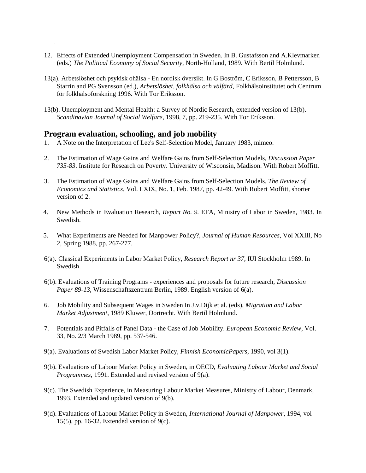- 12. Effects of Extended Unemployment Compensation in Sweden. In B. Gustafsson and A.Klevmarken (eds.) *The Political Economy of Social Security*, North-Holland, 1989. With Bertil Holmlund.
- 13(a). Arbetslöshet och psykisk ohälsa En nordisk översikt. In G Boström, C Eriksson, B Pettersson, B Starrin and PG Svensson (ed.), *Arbetslöshet, folkhälsa och välfärd*, Folkhälsoinstitutet och Centrum för folkhälsoforskning 1996. With Tor Eriksson.
- 13(b). Unemployment and Mental Health: a Survey of Nordic Research, extended version of 13(b). *Scandinavian Journal of Social Welfare*, 1998, 7, pp. 219-235. With Tor Eriksson.

### **Program evaluation, schooling, and job mobility**

- 1. A Note on the Interpretation of Lee's Self-Selection Model, January 1983, mimeo.
- 2. The Estimation of Wage Gains and Welfare Gains from Self-Selection Models, *Discussion Paper 735-83*. Institute for Research on Poverty. University of Wisconsin, Madison. With Robert Moffitt.
- 3. The Estimation of Wage Gains and Welfare Gains from Self-Selection Models. *The Review of Economics and Statistics*, Vol. LXIX, No. 1, Feb. 1987, pp. 42-49. With Robert Moffitt, shorter version of 2.
- 4. New Methods in Evaluation Research, *Report No. 9.* EFA, Ministry of Labor in Sweden, 1983. In Swedish.
- 5. What Experiments are Needed for Manpower Policy?, *Journal of Human Resources*, Vol XXIII, No 2, Spring 1988, pp. 267-277.
- 6(a). Classical Experiments in Labor Market Policy, *Research Report nr 37*, IUI Stockholm 1989. In Swedish.
- 6(b). Evaluations of Training Programs experiences and proposals for future research, *Discussion Paper 89-13,* Wissenschaftszentrum Berlin, 1989. English version of 6(a).
- 6. Job Mobility and Subsequent Wages in Sweden In J.v.Dijk et al. (eds), *Migration and Labor Market Adjustment*, 1989 Kluwer, Dortrecht. With Bertil Holmlund.
- 7. Potentials and Pitfalls of Panel Data the Case of Job Mobility. *European Economic Review*, Vol. 33, No. 2/3 March 1989, pp. 537-546.
- 9(a). Evaluations of Swedish Labor Market Policy, *Finnish EconomicPapers*, 1990, vol 3(1).
- 9(b). Evaluations of Labour Market Policy in Sweden, in OECD, *Evaluating Labour Market and Social Programmes*, 1991. Extended and revised version of 9(a).
- 9(c). The Swedish Experience, in Measuring Labour Market Measures, Ministry of Labour, Denmark, 1993. Extended and updated version of 9(b).
- 9(d). Evaluations of Labour Market Policy in Sweden, *International Journal of Manpower*, 1994, vol 15(5), pp. 16-32. Extended version of 9(c).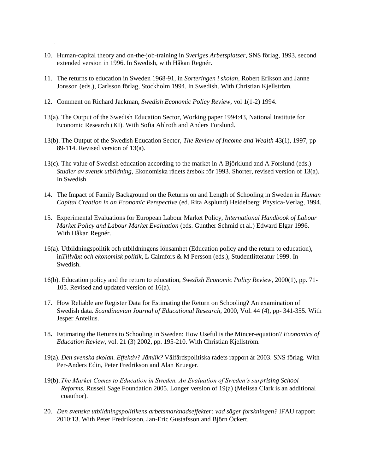- 10. Human-capital theory and on-the-job-training in *Sveriges Arbetsplatser*, SNS förlag, 1993, second extended version in 1996. In Swedish, with Håkan Regnér.
- 11. The returns to education in Sweden 1968-91, in *Sorteringen i skolan*, Robert Erikson and Janne Jonsson (eds.), Carlsson förlag, Stockholm 1994. In Swedish. With Christian Kjellström.
- 12. Comment on Richard Jackman, *Swedish Economic Policy Review*, vol 1(1-2) 1994.
- 13(a). The Output of the Swedish Education Sector, Working paper 1994:43, National Institute for Economic Research (KI). With Sofia Ahlroth and Anders Forslund.
- 13(b). The Output of the Swedish Education Sector, *The Review of Income and Wealth* 43(1), 1997, pp 89-114. Revised version of 13(a).
- 13(c). The value of Swedish education according to the market in A Björklund and A Forslund (eds.) *Studier av svensk utbildning*, Ekonomiska rådets årsbok för 1993. Shorter, revised version of 13(a). In Swedish.
- 14. The Impact of Family Background on the Returns on and Length of Schooling in Sweden in *Human Capital Creation in an Economic Perspective* (ed. Rita Asplund) Heidelberg: Physica-Verlag, 1994.
- 15. Experimental Evaluations for European Labour Market Policy, *International Handbook of Labour Market Policy and Labour Market Evaluation* (eds. Gunther Schmid et al.) Edward Elgar 1996. With Håkan Regnér.
- 16(a). Utbildningspolitik och utbildningens lönsamhet (Education policy and the return to education), in*Tillväxt och ekonomisk politik*, L Calmfors & M Persson (eds.), Studentlitteratur 1999. In Swedish.
- 16(b). Education policy and the return to education, *Swedish Economic Policy Review*, 2000(1), pp. 71- 105. Revised and updated version of 16(a).
- 17. How Reliable are Register Data for Estimating the Return on Schooling? An examination of Swedish data. *Scandinavian Journal of Educational Research,* 2000, Vol. 44 (4), pp- 341-355. With Jesper Antelius.
- 18**.** Estimating the Returns to Schooling in Sweden: How Useful is the Mincer-equation? *Economics of Education Review,* vol. 21 (3) 2002, pp. 195-210. With Christian Kjellström.
- 19(a). *Den svenska skolan. Effektiv? Jämlik?* Välfärdspolitiska rådets rapport år 2003. SNS förlag. With Per-Anders Edin, Peter Fredrikson and Alan Krueger.
- 19(b). *The Market Comes to Education in Sweden. An Evaluation of Sweden's surprising School Reforms.* Russell Sage Foundation 2005. Longer version of 19(a) (Melissa Clark is an additional coauthor).
- 20. *Den svenska utbildningspolitikens arbetsmarknadseffekter: vad säger forskningen?* IFAU rapport 2010:13. With Peter Fredriksson, Jan-Eric Gustafsson and Björn Öckert.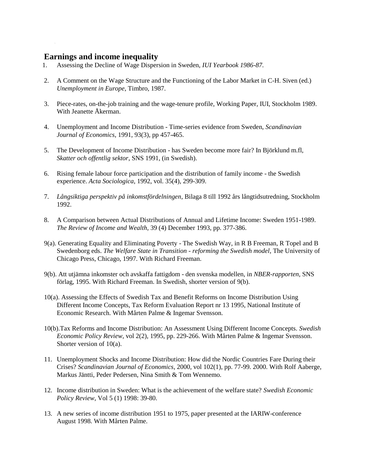# **Earnings and income inequality**

- 1. Assessing the Decline of Wage Dispersion in Sweden, *IUI Yearbook 1986-87*.
- 2. A Comment on the Wage Structure and the Functioning of the Labor Market in C-H. Siven (ed.) *Unemployment in Europe*, Timbro, 1987.
- 3. Piece-rates, on-the-job training and the wage-tenure profile, Working Paper, IUI, Stockholm 1989. With Jeanette Åkerman.
- 4. Unemployment and Income Distribution Time-series evidence from Sweden, *Scandinavian Journal of Economics*, 1991, 93(3), pp 457-465.
- 5. The Development of Income Distribution has Sweden become more fair? In Björklund m.fl, *Skatter och offentlig sektor*, SNS 1991, (in Swedish).
- 6. Rising female labour force participation and the distribution of family income the Swedish experience. *Acta Sociologica*, 1992, vol. 35(4), 299-309.
- 7. *Långsiktiga perspektiv på inkomstfördelningen*, Bilaga 8 till 1992 års långtidsutredning, Stockholm 1992.
- 8. A Comparison between Actual Distributions of Annual and Lifetime Income: Sweden 1951-1989. *The Review of Income and Wealth*, 39 (4) December 1993, pp. 377-386.
- 9(a). Generating Equality and Eliminating Poverty The Swedish Way, in R B Freeman, R Topel and B Swedenborg eds. *The Welfare State in Transition - reforming the Swedish model*, The University of Chicago Press, Chicago, 1997. With Richard Freeman.
- 9(b). Att utjämna inkomster och avskaffa fattigdom den svenska modellen, in *NBER-rapporten*, SNS förlag, 1995. With Richard Freeman. In Swedish, shorter version of 9(b).
- 10(a). Assessing the Effects of Swedish Tax and Benefit Reforms on Income Distribution Using Different Income Concepts, Tax Reform Evaluation Report nr 13 1995, National Institute of Economic Research. With Mårten Palme & Ingemar Svensson.
- 10(b).Tax Reforms and Income Distribution: An Assessment Using Different Income Concepts. *Swedish Economic Policy Review*, vol 2(2), 1995, pp. 229-266. With Mårten Palme & Ingemar Svensson. Shorter version of 10(a).
- 11. Unemployment Shocks and Income Distribution: How did the Nordic Countries Fare During their Crises? *Scandinavian Journal of Economics*, 2000, vol 102(1), pp. 77-99. 2000. With Rolf Aaberge, Markus Jäntti, Peder Pedersen, Nina Smith & Tom Wennemo.
- 12. Income distribution in Sweden: What is the achievement of the welfare state? *Swedish Economic Policy Review*, Vol 5 (1) 1998: 39-80.
- 13. A new series of income distribution 1951 to 1975, paper presented at the IARIW-conference August 1998. With Mårten Palme.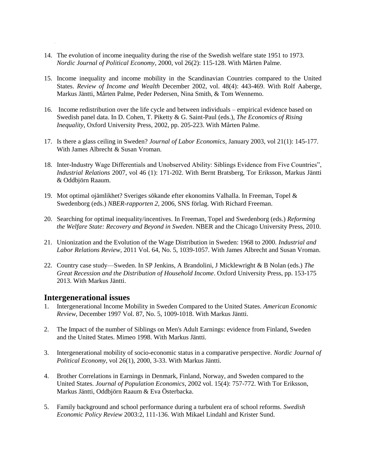- 14. The evolution of income inequality during the rise of the Swedish welfare state 1951 to 1973. *Nordic Journal of Political Economy*, 2000, vol 26(2): 115-128. With Mårten Palme.
- 15. Income inequality and income mobility in the Scandinavian Countries compared to the United States. *Review of Income and Wealth* December 2002, vol. 48(4): 443-469. With Rolf Aaberge, Markus Jäntti, Mårten Palme, Peder Pedersen, Nina Smith, & Tom Wennemo.
- 16. Income redistribution over the life cycle and between individuals empirical evidence based on Swedish panel data. In D. Cohen, T. Piketty & G. Saint-Paul (eds.), *The Economics of Rising Inequality*, Oxford University Press, 2002, pp. 205-223. With Mårten Palme.
- 17. Is there a glass ceiling in Sweden? *Journal of Labor Economics,* January 2003, vol 21(1): 145-177*.* With James Albrecht & Susan Vroman.
- 18. Inter-Industry Wage Differentials and Unobserved Ability: Siblings Evidence from Five Countries", *Industrial Relations* 2007, vol 46 (1): 171-202. With Bernt Bratsberg, Tor Eriksson, Markus Jäntti & Oddbjörn Raaum.
- 19. Mot optimal ojämlikhet? Sveriges sökande efter ekonomins Valhalla. In Freeman, Topel & Swedenborg (eds.) *NBER-rapporten 2*, 2006, SNS förlag. With Richard Freeman.
- 20. Searching for optimal inequality/incentives. In Freeman, Topel and Swedenborg (eds.) *Reforming the Welfare State: Recovery and Beyond in Sweden*. NBER and the Chicago University Press, 2010.
- 21. Unionization and the Evolution of the Wage Distribution in Sweden: 1968 to 2000. *Industrial and Labor Relations Review*, 2011 Vol. 64, No. 5, 1039-1057. With James Albrecht and Susan Vroman.
- 22. Country case study—Sweden. In SP Jenkins, A Brandolini, J Micklewright & B Nolan (eds.) *The Great Recession and the Distribution of Household Income*. Oxford University Press, pp. 153-175 2013. With Markus Jäntti.

## **Intergenerational issues**

- 1. Intergenerational Income Mobility in Sweden Compared to the United States. *American Economic Review*, December 1997 Vol. 87, No. 5, 1009-1018. With Markus Jäntti.
- 2. The Impact of the number of Siblings on Men's Adult Earnings: evidence from Finland, Sweden and the United States. Mimeo 1998. With Markus Jäntti.
- 3. Intergenerational mobility of socio-economic status in a comparative perspective. *Nordic Journal of Political Economy,* vol 26(1), 2000, 3-33. With Markus Jäntti.
- 4. Brother Correlations in Earnings in Denmark, Finland, Norway, and Sweden compared to the United States. *Journal of Population Economics*, 2002 vol. 15(4): 757-772. With Tor Eriksson, Markus Jäntti, Oddbjörn Raaum & Eva Österbacka.
- 5. Family background and school performance during a turbulent era of school reforms. *Swedish Economic Policy Review* 2003:2, 111-136. With Mikael Lindahl and Krister Sund.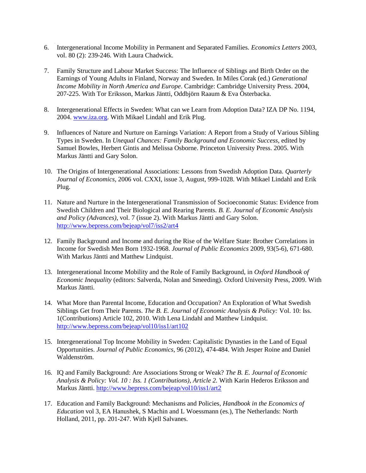- 6. Intergenerational Income Mobility in Permanent and Separated Families. *Economics Letters* 2003, vol. 80 (2): 239-246. With Laura Chadwick.
- 7. Family Structure and Labour Market Success: The Influence of Siblings and Birth Order on the Earnings of Young Adults in Finland, Norway and Sweden. In Miles Corak (ed.) *Generational Income Mobility in North America and Europe*. Cambridge: Cambridge University Press. 2004, 207-225. With Tor Eriksson, Markus Jäntti, Oddbjörn Raaum & Eva Österbacka.
- 8. Intergenerational Effects in Sweden: What can we Learn from Adoption Data? IZA DP No. 1194, 2004. [www.iza.org.](http://www.oza.org/) With Mikael Lindahl and Erik Plug.
- 9. Influences of Nature and Nurture on Earnings Variation: A Report from a Study of Various Sibling Types in Sweden. In *Unequal Chances: Family Background and Economic Success,* edited by Samuel Bowles, Herbert Gintis and Melissa Osborne. Princeton University Press. 2005. With Markus Jäntti and Gary Solon.
- 10. The Origins of Intergenerational Associations: Lessons from Swedish Adoption Data. *Quarterly Journal of Economics,* 2006 vol. CXXI, issue 3, August, 999-1028. With Mikael Lindahl and Erik Plug.
- 11. Nature and Nurture in the Intergenerational Transmission of Socioeconomic Status: Evidence from Swedish Children and Their Biological and Rearing Parents. *B. E. Journal of Economic Analysis and Policy (Advances)*, vol. 7 (issue 2). With Markus Jäntti and Gary Solon. <http://www.bepress.com/bejeap/vol7/iss2/art4>
- 12. Family Background and Income and during the Rise of the Welfare State: Brother Correlations in Income for Swedish Men Born 1932-1968. *Journal of Public Economics* 2009, 93(5-6), 671-680. With Markus Jäntti and Matthew Lindquist.
- 13. Intergenerational Income Mobility and the Role of Family Background, in *Oxford Handbook of Economic Inequality* (editors: Salverda, Nolan and Smeeding). Oxford University Press, 2009. With Markus Jäntti.
- 14. What More than Parental Income, Education and Occupation? An Exploration of What Swedish Siblings Get from Their Parents. *The B. E. Journal of Economic Analysis & Policy:* Vol. 10: Iss. 1(Contributions) Article 102, 2010. With Lena Lindahl and Matthew Lindquist. <http://www.bepress.com/bejeap/vol10/iss1/art102>
- 15. Intergenerational Top Income Mobility in Sweden: Capitalistic Dynasties in the Land of Equal Opportunities. *Journal of Public Economics*, 96 (2012), 474-484. With Jesper Roine and Daniel Waldenström.
- 16. IQ and Family Background: Are Associations Strong or Weak? *The B. E. Journal of Economic Analysis & Policy: Vol. 10 : Iss. 1 (Contributions), Article 2.* With Karin Hederos Eriksson and Markus Jäntti. <http://www.bepress.com/bejeap/vol10/iss1/art2>
- 17. Education and Family Background: Mechanisms and Policies, *Handbook in the Economics of Education* vol 3, EA Hanushek, S Machin and L Woessmann (es.), The Netherlands: North Holland, 2011, pp. 201-247. With Kjell Salvanes.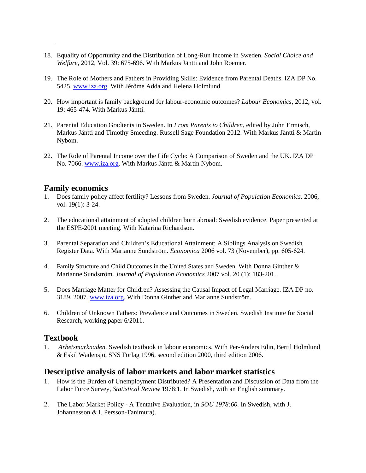- 18. Equality of Opportunity and the Distribution of Long-Run Income in Sweden. *Social Choice and Welfare*, 2012, Vol. 39: 675-696. With Markus Jäntti and John Roemer.
- 19. The Role of Mothers and Fathers in Providing Skills: Evidence from Parental Deaths. IZA DP No. 5425. [www.iza.org.](http://www.iza.org/) With Jérôme Adda and Helena Holmlund.
- 20. How important is family background for labour-economic outcomes? *Labour Economics*, 2012, vol. 19: 465-474. With Markus Jäntti.
- 21. Parental Education Gradients in Sweden. In *From Parents to Children*, edited by John Ermisch, Markus Jäntti and Timothy Smeeding. Russell Sage Foundation 2012. With Markus Jäntti & Martin Nybom.
- 22. The Role of Parental Income over the Life Cycle: A Comparison of Sweden and the UK. IZA DP No. 7066. [www.iza.org.](http://www.iza.org/) With Markus Jäntti & Martin Nybom.

## **Family economics**

- 1. Does family policy affect fertility? Lessons from Sweden. *Journal of Population Economics.* 2006, vol. 19(1): 3-24.
- 2. The educational attainment of adopted children born abroad: Swedish evidence. Paper presented at the ESPE-2001 meeting. With Katarina Richardson.
- 3. Parental Separation and Children's Educational Attainment: A Siblings Analysis on Swedish Register Data. With Marianne Sundström. *Economica* 2006 vol. 73 (November), pp. 605-624.
- 4. [Family Structure and Child Outcomes in the United States and Sweden](http://www.iza.org/en/webcontent/publications/papers/viewAbstract?dp_id=1259). With Donna Ginther & Marianne Sundström. *Journal of Population Economics* 2007 vol. 20 (1): 183-201.
- 5. Does Marriage Matter for Children? Assessing the Causal Impact of Legal Marriage. IZA DP no. 3189, 2007. [www.iza.org.](http://www.iza.org/) With Donna Ginther and Marianne Sundström.
- 6. Children of Unknown Fathers: Prevalence and Outcomes in Sweden. Swedish Institute for Social Research, working paper 6/2011.

## **Textbook**

1. *Arbetsmarknaden.* Swedish textbook in labour economics. With Per-Anders Edin, Bertil Holmlund & Eskil Wadensjö, SNS Förlag 1996, second edition 2000, third edition 2006.

#### **Descriptive analysis of labor markets and labor market statistics**

- 1. How is the Burden of Unemployment Distributed? A Presentation and Discussion of Data from the Labor Force Survey, *Statistical Review* 1978:1. In Swedish, with an English summary.
- 2. The Labor Market Policy A Tentative Evaluation, in *SOU 1978:60.* In Swedish, with J. Johannesson & I. Persson-Tanimura).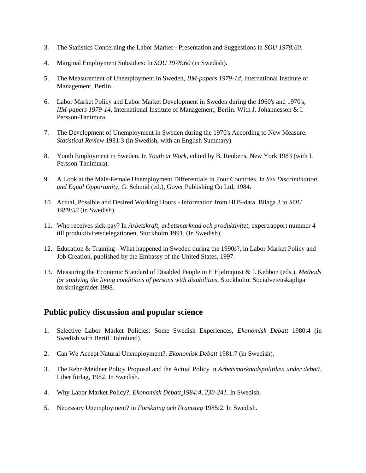- 3. The Statistics Concerning the Labor Market Presentation and Suggestions in *SOU 1978:60*.
- 4. Marginal Employment Subsidies: In *SOU 1978:60* (in Swedish).
- 5. The Measurement of Unemployment in Sweden, *IIM-papers 1979-1d*, International Institute of Management, Berlin.
- 6. Labor Market Policy and Labor Market Development in Sweden during the 1960's and 1970's, *IIM-papers 1979-14*, International Institute of Management, Berlin. With J. Johannesson & I. Persson-Tanimura.
- 7. The Development of Unemployment in Sweden during the 1970's According to New Measure. *Statistical Review* 1981:3 (in Swedish, with an English Summary).
- 8. Youth Employment in Sweden. In *Youth at Work*, edited by B. Reubens, New York 1983 (with I. Persson-Tanimura).
- 9. A Look at the Male-Female Unemployment Differentials in Four Countries. In *Sex Discrimination and Equal Opportunity*, G. Schmid (ed.), Gover Publishing Co Ltd, 1984.
- 10. Actual, Possible and Desired Working Hours Information from HUS-data. Bilaga 3 to *SOU 1989:53* (in Swedish).
- 11. Who receives sick-pay? In *Arbetskraft, arbetsmarknad och produktivitet*, expertrapport nummer 4 till produktivitetsdelegationen, Stockholm 1991. (In Swedish).
- 12. Education & Training What happened in Sweden during the 1990s?, in Labor Market Policy and Job Creation, published by the Embassy of the United States, 1997.
- 13. Measuring the Economic Standard of Disabled People in E Hjelmquist & L Kebbon (eds.), *Methods for studying the living conditions of persons with disabilities*, Stockholm: Socialvetenskapliga forskningsrådet 1998.

# **Public policy discussion and popular science**

- 1. Selective Labor Market Policies: Some Swedish Experiences, *Ekonomisk Debatt* 1980:4 (in Swedish with Bertil Holmlund).
- 2. Can We Accept Natural Unemployment?, *Ekonomisk Debatt* 1981:7 (in Swedish).
- 3. The Rehn/Meidner Policy Proposal and the Actual Policy in *Arbetsmarknadspolitiken under debatt*, Liber förlag, 1982. In Swedish.
- 4. Why Labor Market Policy?, *Ekonomisk Debatt 1984:4, 230-241.* In Swedish.
- 5. Necessary Unemployment? in *Forskning och Framsteg* 1985:2. In Swedish.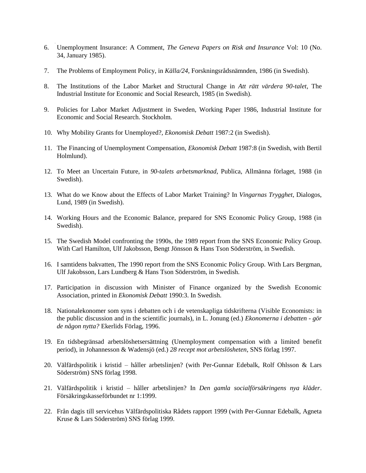- 6. Unemployment Insurance: A Comment, *The Geneva Papers on Risk and Insurance* Vol: 10 (No. 34, January 1985).
- 7. The Problems of Employment Policy, in *Källa/24*, Forskningsrådsnämnden, 1986 (in Swedish).
- 8. The Institutions of the Labor Market and Structural Change in *Att rätt värdera 90-talet*, The Industrial Institute for Economic and Social Research, 1985 (in Swedish).
- 9. Policies for Labor Market Adjustment in Sweden, Working Paper 1986, Industrial Institute for Economic and Social Research. Stockholm.
- 10. Why Mobility Grants for Unemployed?, *Ekonomisk Debatt* 1987:2 (in Swedish).
- 11. The Financing of Unemployment Compensation, *Ekonomisk Debatt* 1987:8 (in Swedish, with Bertil Holmlund).
- 12. To Meet an Uncertain Future, in *90-talets arbetsmarknad*, Publica, Allmänna förlaget, 1988 (in Swedish).
- 13. What do we Know about the Effects of Labor Market Training? In *Vingarnas Trygghet*, Dialogos, Lund, 1989 (in Swedish).
- 14. Working Hours and the Economic Balance, prepared for SNS Economic Policy Group, 1988 (in Swedish).
- 15. The Swedish Model confronting the 1990s, the 1989 report from the SNS Economic Policy Group. With Carl Hamilton, Ulf Jakobsson, Bengt Jönsson & Hans Tson Söderström, in Swedish.
- 16. I samtidens bakvatten, The 1990 report from the SNS Economic Policy Group. With Lars Bergman, Ulf Jakobsson, Lars Lundberg & Hans Tson Söderström, in Swedish.
- 17. Participation in discussion with Minister of Finance organized by the Swedish Economic Association, printed in *Ekonomisk Debatt* 1990:3. In Swedish.
- 18. Nationalekonomer som syns i debatten och i de vetenskapliga tidskrifterna (Visible Economists: in the public discussion and in the scientific journals), in L. Jonung (ed.) *Ekonomerna i debatten - gör de någon nytta?* Ekerlids Förlag, 1996.
- 19. En tidsbegränsad arbetslöshetsersättning (Unemployment compensation with a limited benefit period), in Johannesson & Wadensjö (ed.) *28 recept mot arbetslösheten*, SNS förlag 1997.
- 20. Välfärdspolitik i kristid håller arbetslinjen? (with Per-Gunnar Edebalk, Rolf Ohlsson & Lars Söderström) SNS förlag 1998.
- 21. Välfärdspolitik i kristid håller arbetslinjen? In *Den gamla socialförsäkringens nya kläder*. Försäkringskasseförbundet nr 1:1999.
- 22. Från dagis till servicehus Välfärdspolitiska Rådets rapport 1999 (with Per-Gunnar Edebalk, Agneta Kruse & Lars Söderström) SNS förlag 1999.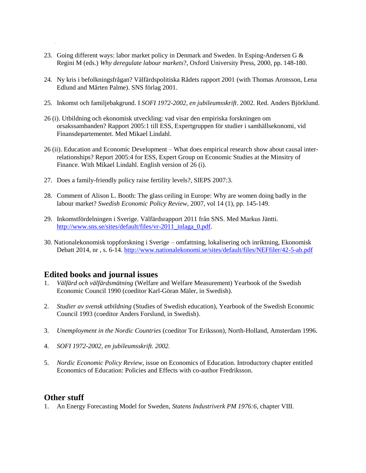- 23. Going different ways: labor market policy in Denmark and Sweden. In Esping-Andersen G & Regini M (eds.) *Why deregulate labour markets*?, Oxford University Press, 2000, pp. 148-180.
- 24. Ny kris i befolkningsfrågan? Välfärdspolitiska Rådets rapport 2001 (with Thomas Aronsson, Lena Edlund and Mårten Palme). SNS förlag 2001.
- 25. Inkomst och familjebakgrund. I *SOFI 1972-2002, en jubileumsskrift*. 2002. Red. Anders Björklund.
- 26 (i). Utbildning och ekonomisk utveckling: vad visar den empiriska forskningen om orsakssambanden? Rapport 2005:1 till ESS, Expertgruppen för studier i samhällsekonomi, vid Finansdepartementet. Med Mikael Lindahl.
- 26 (ii). Education and Economic Development What does empirical research show about causal interrelationships? Report 2005:4 for ESS, Expert Group on Economic Studies at the Minsitry of Finance. With Mikael Lindahl. English version of 26 (i).
- 27. Does a family-friendly policy raise fertility levels?, SIEPS 2007:3.
- 28. Comment of Alison L. Booth: The glass ceiling in Europe: Why are women doing badly in the labour market? *Swedish Economic Policy Review*, 2007, vol 14 (1), pp. 145-149.
- 29. Inkomstfördelningen i Sverige. Välfärdsrapport 2011 från SNS. Med Markus Jäntti. [http://www.sns.se/sites/default/files/vr-2011\\_inlaga\\_0.pdf.](http://www.sns.se/sites/default/files/vr-2011_inlaga_0.pdf)
- 30. Nationalekonomisk toppforskning i Sverige omfattning, lokalisering och inriktning, Ekonomisk Debatt 2014, nr , s. 6-14.<http://www.nationalekonomi.se/sites/default/files/NEFfiler/42-5-ab.pdf>

# **Edited books and journal issues**

- 1. *Välfärd och välfärdsmätning* (Welfare and Welfare Measurement) Yearbook of the Swedish Economic Council 1990 (coeditor Karl-Göran Mäler, in Swedish).
- 2. *Studier av svensk utbildning* (Studies of Swedish education), Yearbook of the Swedish Economic Council 1993 (coeditor Anders Forslund, in Swedish).
- 3. *Unemployment in the Nordic Countries* (coeditor Tor Eriksson), North-Holland, Amsterdam 1996.
- 4. *SOFI 1972-2002, en jubileumsskrift. 2002.*
- 5. *Nordic Economic Policy Review*, issue on Economics of Education. Introductory chapter entitled Economics of Education: Policies and Effects with co-author Fredriksson.

# **Other stuff**

1. An Energy Forecasting Model for Sweden, *Statens Industriverk PM 1976:6*, chapter VIII.